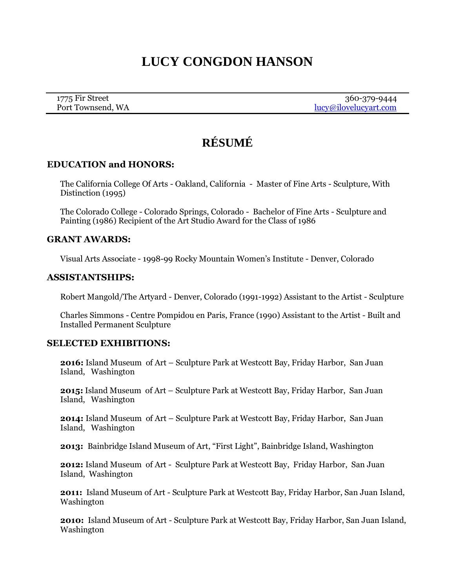# **LUCY CONGDON HANSON**

| 1775 Fir Street   | 360-379-9444          |
|-------------------|-----------------------|
| Port Townsend, WA | lucy@ilovelucyart.com |

# **RÉSUMÉ**

## **EDUCATION and HONORS:**

The California College Of Arts - Oakland, California - Master of Fine Arts - Sculpture, With Distinction (1995)

The Colorado College - Colorado Springs, Colorado - Bachelor of Fine Arts - Sculpture and Painting (1986) Recipient of the Art Studio Award for the Class of 1986

#### **GRANT AWARDS:**

Visual Arts Associate - 1998-99 Rocky Mountain Women's Institute - Denver, Colorado

#### **ASSISTANTSHIPS:**

Robert Mangold/The Artyard - Denver, Colorado (1991-1992) Assistant to the Artist - Sculpture

Charles Simmons - Centre Pompidou en Paris, France (1990) Assistant to the Artist - Built and Installed Permanent Sculpture

## **SELECTED EXHIBITIONS:**

**2016:** Island Museum of Art – Sculpture Park at Westcott Bay, Friday Harbor, San Juan Island, Washington

**2015:** Island Museum of Art – Sculpture Park at Westcott Bay, Friday Harbor, San Juan Island, Washington

**2014:** Island Museum of Art – Sculpture Park at Westcott Bay, Friday Harbor, San Juan Island, Washington

**2013:** Bainbridge Island Museum of Art, "First Light", Bainbridge Island, Washington

**2012:** Island Museum of Art - Sculpture Park at Westcott Bay, Friday Harbor, San Juan Island, Washington

**2011:** Island Museum of Art - Sculpture Park at Westcott Bay, Friday Harbor, San Juan Island, Washington

**2010:** Island Museum of Art - Sculpture Park at Westcott Bay, Friday Harbor, San Juan Island, Washington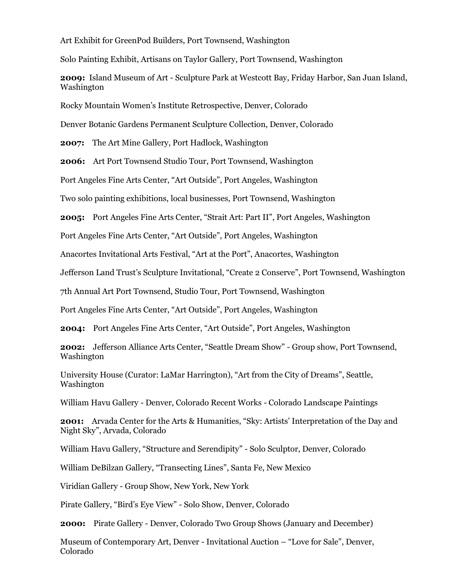Art Exhibit for GreenPod Builders, Port Townsend, Washington

Solo Painting Exhibit, Artisans on Taylor Gallery, Port Townsend, Washington

**2009:** Island Museum of Art - Sculpture Park at Westcott Bay, Friday Harbor, San Juan Island, Washington

Rocky Mountain Women's Institute Retrospective, Denver, Colorado

Denver Botanic Gardens Permanent Sculpture Collection, Denver, Colorado

**2007:** The Art Mine Gallery, Port Hadlock, Washington

**2006:** Art Port Townsend Studio Tour, Port Townsend, Washington

Port Angeles Fine Arts Center, "Art Outside", Port Angeles, Washington

Two solo painting exhibitions, local businesses, Port Townsend, Washington

**2005:** Port Angeles Fine Arts Center, "Strait Art: Part II", Port Angeles, Washington

Port Angeles Fine Arts Center, "Art Outside", Port Angeles, Washington

Anacortes Invitational Arts Festival, "Art at the Port", Anacortes, Washington

Jefferson Land Trust's Sculpture Invitational, "Create 2 Conserve", Port Townsend, Washington

7th Annual Art Port Townsend, Studio Tour, Port Townsend, Washington

Port Angeles Fine Arts Center, "Art Outside", Port Angeles, Washington

**2004:** Port Angeles Fine Arts Center, "Art Outside", Port Angeles, Washington

**2002:** Jefferson Alliance Arts Center, "Seattle Dream Show" - Group show, Port Townsend, Washington

University House (Curator: LaMar Harrington), "Art from the City of Dreams", Seattle, Washington

William Havu Gallery - Denver, Colorado Recent Works - Colorado Landscape Paintings

**2001:** Arvada Center for the Arts & Humanities, "Sky: Artists' Interpretation of the Day and Night Sky", Arvada, Colorado

William Havu Gallery, "Structure and Serendipity" - Solo Sculptor, Denver, Colorado

William DeBilzan Gallery, "Transecting Lines", Santa Fe, New Mexico

Viridian Gallery - Group Show, New York, New York

Pirate Gallery, "Bird's Eye View" - Solo Show, Denver, Colorado

**2000:** Pirate Gallery - Denver, Colorado Two Group Shows (January and December)

Museum of Contemporary Art, Denver - Invitational Auction – "Love for Sale", Denver, Colorado